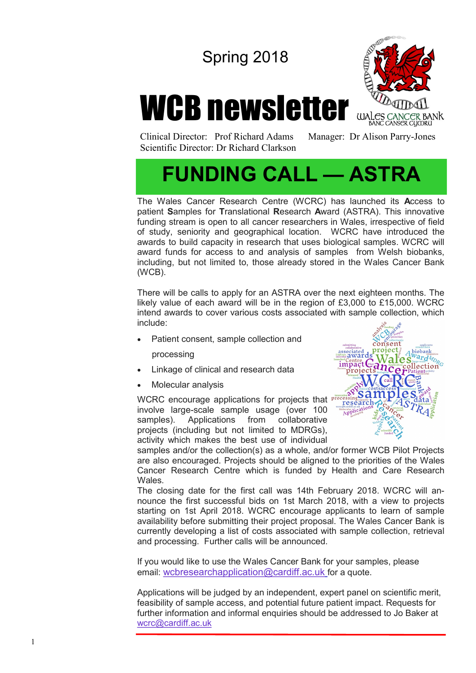## Spring 2018

# WCB newsletter



Clinical Director: Prof Richard Adams Manager: Dr Alison Parry-Jones Scientific Director: Dr Richard Clarkson

## **FUNDING CALL — ASTRA**

The Wales Cancer Research Centre (WCRC) has launched its **A**ccess to patient **S**amples for **T**ranslational **R**esearch **A**ward (ASTRA). This innovative funding stream is open to all cancer researchers in Wales, irrespective of field of study, seniority and geographical location. WCRC have introduced the awards to build capacity in research that uses biological samples. WCRC will award funds for access to and analysis of samples from Welsh biobanks, including, but not limited to, those already stored in the Wales Cancer Bank (WCB).

There will be calls to apply for an ASTRA over the next eighteen months. The likely value of each award will be in the region of £3,000 to £15,000. WCRC intend awards to cover various costs associated with sample collection, which include:

Patient consent, sample collection and

processing

- Linkage of clinical and research data
- Molecular analysis

WCRC encourage applications for projects that *processing* involve large-scale sample usage (over 100 samples). Applications from collaborative projects (including but not limited to MDRGs), activity which makes the best use of individual



samples and/or the collection(s) as a whole, and/or former WCB Pilot Projects are also encouraged. Projects should be aligned to the priorities of the Wales Cancer Research Centre which is funded by Health and Care Research **Wales** 

The closing date for the first call was 14th February 2018. WCRC will announce the first successful bids on 1st March 2018, with a view to projects starting on 1st April 2018. WCRC encourage applicants to learn of sample availability before submitting their project proposal. The Wales Cancer Bank is currently developing a list of costs associated with sample collection, retrieval and processing. Further calls will be announced.

If you would like to use the Wales Cancer Bank for your samples, please email: [wcbresearchapplication@cardiff.ac.uk](mailto:wcbresearchapplication@cardiff.ac.uk) for a quote.

Applications will be judged by an independent, expert panel on scientific merit, feasibility of sample access, and potential future patient impact. Requests for further information and informal enquiries should be addressed to Jo Baker at [wcrc@cardiff.ac.uk](mailto:wcrc@cardiff.ac.uk)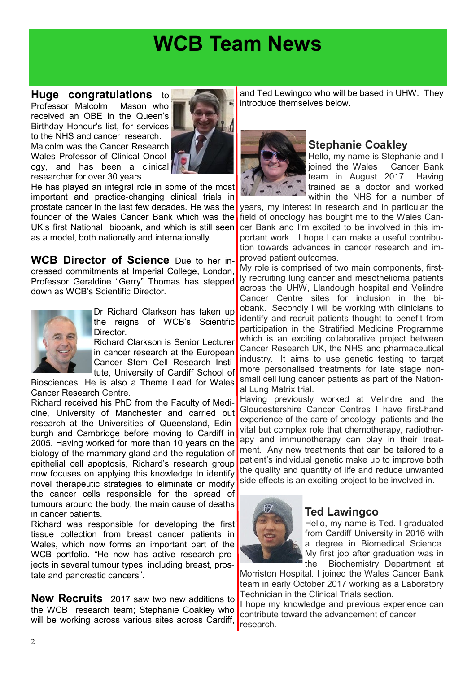## **WCB Team News**

#### **Huge congratulations** to

Professor Malcolm Mason who received an OBE in the Queen's Birthday Honour's list, for services to the NHS and cancer research. Malcolm was the Cancer Research Wales Professor of Clinical Oncology, and has been a clinical researcher for over 30 years.



He has played an integral role in some of the most important and practice-changing clinical trials in prostate cancer in the last few decades. He was the founder of the Wales Cancer Bank which was the UK's first National biobank, and which is still seen as a model, both nationally and internationally.

**WCB Director of Science** Due to her increased commitments at Imperial College, London, Professor Geraldine "Gerry" Thomas has stepped down as WCB's Scientific Director.



Dr Richard Clarkson has taken up the reigns of WCB's Scientific **Director** 

Richard Clarkson is Senior Lecturer in cancer research at the European Cancer Stem Cell Research Institute, University of Cardiff School of

Biosciences. He is also a Theme Lead for Wales Cancer Research Centre.

Richard received his PhD from the Faculty of Medicine, University of Manchester and carried out research at the Universities of Queensland, Edinburgh and Cambridge before moving to Cardiff in 2005. Having worked for more than 10 years on the biology of the mammary gland and the regulation of epithelial cell apoptosis, Richard's research group now focuses on applying this knowledge to identify novel therapeutic strategies to eliminate or modify the cancer cells responsible for the spread of tumours around the body, the main cause of deaths in cancer patients.

Richard was responsible for developing the first tissue collection from breast cancer patients in Wales, which now forms an important part of the WCB portfolio. "He now has active research projects in several tumour types, including breast, prostate and pancreatic cancers".

**New Recruits** 2017 saw two new additions to the WCB research team; Stephanie Coakley who will be working across various sites across Cardiff,

and Ted Lewingco who will be based in UHW. They introduce themselves below.



#### **Stephanie Coakley**

Hello, my name is Stephanie and I joined the Wales Cancer Bank team in August 2017. Having trained as a doctor and worked within the NHS for a number of

years, my interest in research and in particular the field of oncology has bought me to the Wales Cancer Bank and I'm excited to be involved in this important work. I hope I can make a useful contribution towards advances in cancer research and improved patient outcomes.

My role is comprised of two main components, firstly recruiting lung cancer and mesothelioma patients across the UHW, Llandough hospital and Velindre Cancer Centre sites for inclusion in the biobank. Secondly I will be working with clinicians to identify and recruit patients thought to benefit from participation in the Stratified Medicine Programme which is an exciting collaborative project between Cancer Research UK, the NHS and pharmaceutical industry. It aims to use genetic testing to target more personalised treatments for late stage nonsmall cell lung cancer patients as part of the National Lung Matrix trial.

Having previously worked at Velindre and the Gloucestershire Cancer Centres I have first-hand experience of the care of oncology patients and the vital but complex role that chemotherapy, radiotherapy and immunotherapy can play in their treatment. Any new treatments that can be tailored to a patient's individual genetic make up to improve both the quality and quantity of life and reduce unwanted side effects is an exciting project to be involved in.



#### **Ted Lawingco**

Hello, my name is Ted. I graduated from Cardiff University in 2016 with a degree in Biomedical Science. My first job after graduation was in the Biochemistry Department at

Morriston Hospital. I joined the Wales Cancer Bank team in early October 2017 working as a Laboratory Technician in the Clinical Trials section.

I hope my knowledge and previous experience can contribute toward the advancement of cancer research.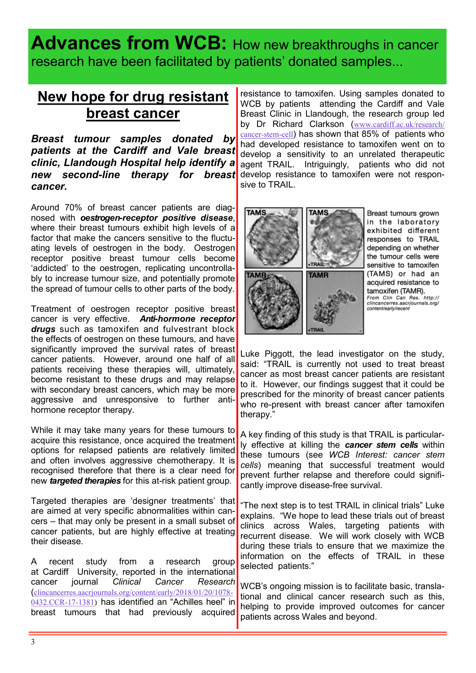### Advances from WCB: How new breakthroughs in cancer research have been facilitated by patients' donated samples...

### **New hope for drug resistant breast cancer**

*Breast tumour samples donated by patients at the Cardiff and Vale breast clinic, Llandough Hospital help identify a new second-line therapy for breast cancer.*

Around 70% of breast cancer patients are diagnosed with *oestrogen-receptor positive disease*, where their breast tumours exhibit high levels of a factor that make the cancers sensitive to the fluctuating levels of oestrogen in the body. Oestrogen receptor positive breast tumour cells become 'addicted' to the oestrogen, replicating uncontrollably to increase tumour size, and potentially promote the spread of tumour cells to other parts of the body.

Treatment of oestrogen receptor positive breast cancer is very effective. *Anti-hormone receptor drugs* such as tamoxifen and fulvestrant block the effects of oestrogen on these tumours, and have significantly improved the survival rates of breast cancer patients. However, around one half of all patients receiving these therapies will, ultimately, become resistant to these drugs and may relapse with secondary breast cancers, which may be more aggressive and unresponsive to further antihormone receptor therapy.

While it may take many years for these tumours to acquire this resistance, once acquired the treatment options for relapsed patients are relatively limited and often involves aggressive chemotherapy. It is recognised therefore that there is a clear need for new *targeted therapies* for this at-risk patient group.

Targeted therapies are 'designer treatments' that are aimed at very specific abnormalities within cancers – that may only be present in a small subset of cancer patients, but are highly effective at treating their disease.

A recent study from a research group at Cardiff University, reported in the international cancer journal *Clinical Cancer Research*  ([clincancerres.aacrjournals.org/content/early/2018/01/20/1078](http://clincancerres.aacrjournals.org/content/early/2018/01/20/1078-0432.CCR-17-1381)- [0432.CCR](http://clincancerres.aacrjournals.org/content/early/2018/01/20/1078-0432.CCR-17-1381)-17-1381) has identified an "Achilles heel" in breast tumours that had previously acquired

resistance to tamoxifen. Using samples donated to WCB by patients attending the Cardiff and Vale Breast Clinic in Llandough, the research group led by Dr Richard Clarkson ([www.cardiff.ac.uk/research/](http://www.cardiff.ac.uk/research/cancer-stem-cell) [cancer](http://www.cardiff.ac.uk/research/cancer-stem-cell)-stem-cell) has shown that 85% of patients who had developed resistance to tamoxifen went on to develop a sensitivity to an unrelated therapeutic agent TRAIL. Intriguingly, patients who did not develop resistance to tamoxifen were not responsive to TRAIL.



Breast tumours grown in the laboratory exhibited different responses to TRAIL depending on whether the tumour cells were sensitive to tamoxifen (TAMS) or had an acquired resistance to tamoxifen (TAMR). From Clin Can Res. http://<br>clincancerres.aacrjournals.org/

content/early/recent

Luke Piggott, the lead investigator on the study, said: "TRAIL is currently not used to treat breast cancer as most breast cancer patients are resistant to it. However, our findings suggest that it could be prescribed for the minority of breast cancer patients who re-present with breast cancer after tamoxifen therapy."

A key finding of this study is that TRAIL is particularly effective at killing the *cancer stem cells* within these tumours (see *WCB Interest: cancer stem cells*) meaning that successful treatment would prevent further relapse and therefore could significantly improve disease-free survival.

"The next step is to test TRAIL in clinical trials" Luke explains. "We hope to lead these trials out of breast clinics across Wales, targeting patients with recurrent disease. We will work closely with WCB during these trials to ensure that we maximize the information on the effects of TRAIL in these selected patients."

WCB's ongoing mission is to facilitate basic, translational and clinical cancer research such as this, helping to provide improved outcomes for cancer patients across Wales and beyond.